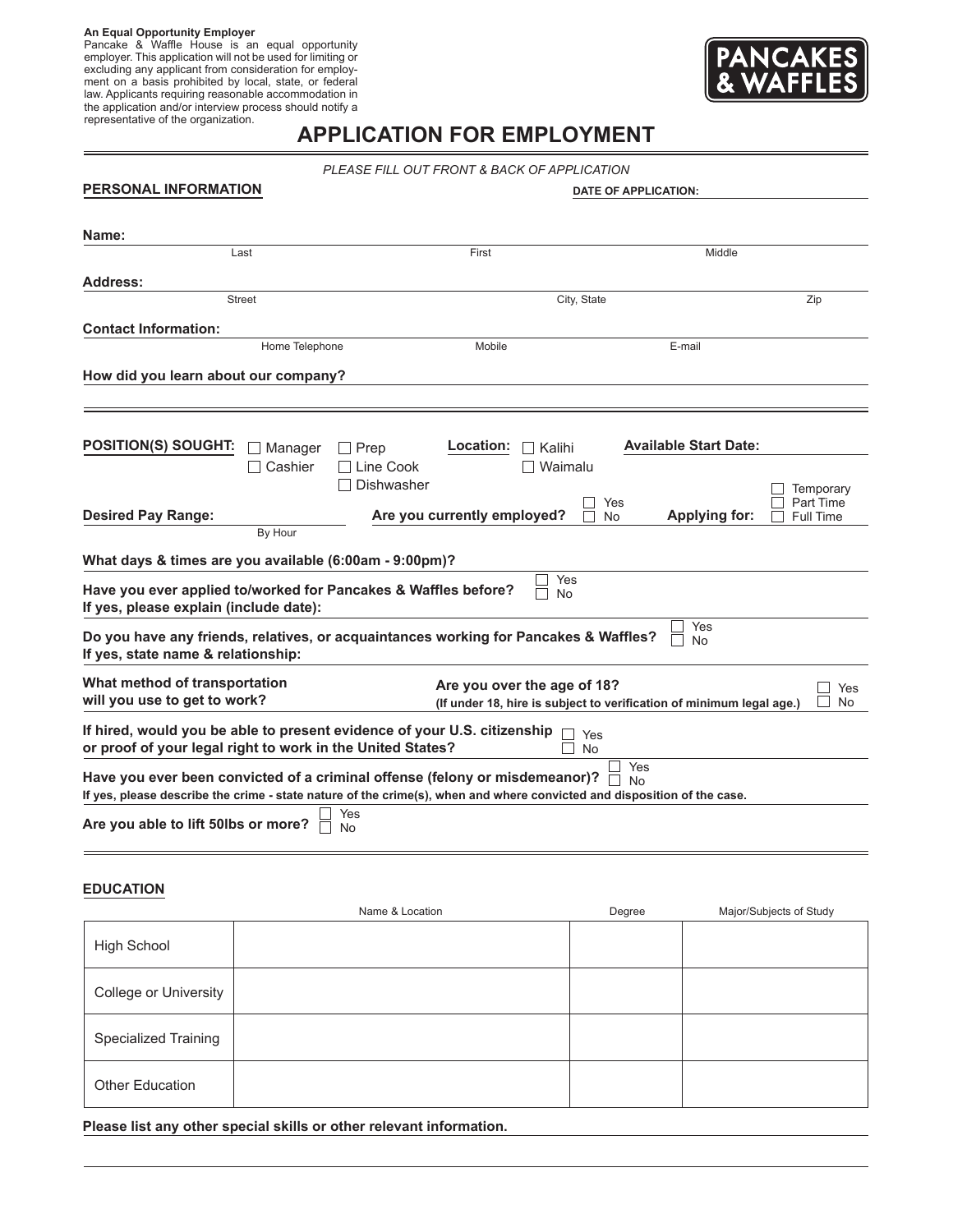**An Equal Opportunity Employer** Pancake & Waffle House is an equal opportunity employer. This application will not be used for limiting or excluding any applicant from consideration for employment on a basis prohibited by local, state, or federal law. Applicants requiring reasonable accommodation in the application and/or interview process should notify a representative of the organization.



# **APPLICATION FOR EMPLOYMENT**

*PLEASE FILL OUT FRONT & BACK OF APPLICATION*

| PERSONAL INFORMATION                                                                                                                   | DATE OF APPLICATION:                                                 |                                   |  |
|----------------------------------------------------------------------------------------------------------------------------------------|----------------------------------------------------------------------|-----------------------------------|--|
|                                                                                                                                        |                                                                      |                                   |  |
| Name:                                                                                                                                  |                                                                      |                                   |  |
| Last                                                                                                                                   | First                                                                | Middle                            |  |
| <b>Address:</b>                                                                                                                        |                                                                      |                                   |  |
| <b>Street</b>                                                                                                                          | City, State                                                          | Zip                               |  |
|                                                                                                                                        |                                                                      |                                   |  |
| <b>Contact Information:</b><br>Home Telephone                                                                                          | Mobile                                                               | E-mail                            |  |
|                                                                                                                                        |                                                                      |                                   |  |
| How did you learn about our company?                                                                                                   |                                                                      |                                   |  |
|                                                                                                                                        |                                                                      |                                   |  |
|                                                                                                                                        |                                                                      |                                   |  |
| <b>POSITION(S) SOUGHT:</b><br>$\Box$ Prep<br>Manager                                                                                   | Location:<br>Kalihi                                                  | <b>Available Start Date:</b>      |  |
| Cashier                                                                                                                                | Line Cook<br>Waimalu                                                 |                                   |  |
|                                                                                                                                        | Dishwasher                                                           | Temporary                         |  |
|                                                                                                                                        | Yes                                                                  | Part Time                         |  |
| <b>Desired Pay Range:</b><br>By Hour                                                                                                   | Are you currently employed?<br><b>No</b>                             | <b>Applying for:</b><br>Full Time |  |
|                                                                                                                                        |                                                                      |                                   |  |
| What days & times are you available (6:00am - 9:00pm)?                                                                                 |                                                                      |                                   |  |
| Have you ever applied to/worked for Pancakes & Waffles before?                                                                         | Yes<br>No                                                            |                                   |  |
| If yes, please explain (include date):                                                                                                 |                                                                      |                                   |  |
| Do you have any friends, relatives, or acquaintances working for Pancakes & Waffles?                                                   |                                                                      | Yes<br>No                         |  |
| If yes, state name & relationship:                                                                                                     |                                                                      |                                   |  |
|                                                                                                                                        |                                                                      |                                   |  |
| What method of transportation<br>will you use to get to work?                                                                          | Are you over the age of 18?                                          | Yes<br><b>No</b>                  |  |
|                                                                                                                                        | (If under 18, hire is subject to verification of minimum legal age.) |                                   |  |
| If hired, would you be able to present evidence of your U.S. citizenship<br>or proof of your legal right to work in the United States? | Yes<br><b>No</b>                                                     |                                   |  |
| Have you ever been convicted of a criminal offense (felony or misdemeanor)?                                                            | Yes                                                                  |                                   |  |
| If yes, please describe the crime - state nature of the crime(s), when and where convicted and disposition of the case.                | No                                                                   |                                   |  |
| Yes                                                                                                                                    |                                                                      |                                   |  |
| Are you able to lift 50lbs or more?<br>No                                                                                              |                                                                      |                                   |  |
|                                                                                                                                        |                                                                      |                                   |  |

### **EDUCATION**

|                             | Name & Location | Degree | Major/Subjects of Study |
|-----------------------------|-----------------|--------|-------------------------|
| <b>High School</b>          |                 |        |                         |
| College or University       |                 |        |                         |
| <b>Specialized Training</b> |                 |        |                         |
| Other Education             |                 |        |                         |

**Please list any other special skills or other relevant information.**